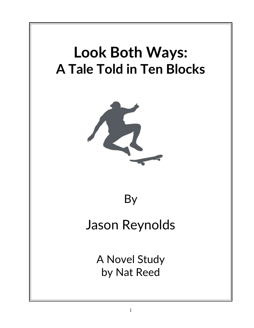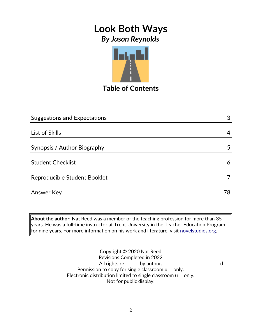

**Table of Contents**

| <b>Suggestions and Expectations</b> | 3  |
|-------------------------------------|----|
|                                     |    |
| List of Skills                      | 4  |
| Synopsis / Author Biography         | 5  |
| <b>Student Checklist</b>            | 6  |
| Reproducible Student Booklet        |    |
| <b>Answer Key</b>                   | 78 |

**About the author:** Nat Reed was a member of the teaching profession for more than 35 years. He was a full-time instructor at Trent University in the Teacher Education Program for nine years. For more information on his work and literature, visit [novelstudies.org.](http://www.novelstudies.org/)

Copyright © 2020 Nat Reed Revisions Completed in 2022 All rights realistic by author. The state of the state of the state of the state of the state of the state of the state of the state of the state of the state of the state of the state of the state of the state of the stat Permission to copy for single classroom u only. Electronic distribution limited to single classroom u only. Not for public display.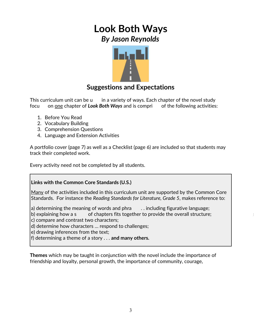

#### **Suggestions and Expectations**

This curriculum unit can be usin a variety of ways. Each chapter of the novel study focu on <u>one</u> chapter of Look Both Ways and is compri of the following activities:

- 1. Before You Read
- 2. Vocabulary Building
- 3. Comprehension Questions
- 4. Language and Extension Activities

A portfolio cover (page 7) as well as a Checklist (page 6) are included so that students may track their completed work.

Every activity need not be completed by all students.

#### **Links with the Common Core Standards (U.S.)**

Many of the activities included in this curriculum unit are supported by the Common Core Standards. For instance the *Reading Standards for Literature, Grade 5*, makes reference to:

|a) determining the meaning of words and phra $\quad \quad \ldots$  including figurative language;  $\qquad \qquad \mid$ 

b) explaining how a s eries of chapters fits together to provide the overall structure; the structure  $\vert$  the structure  $\vert$ 

c) compare and contrast two characters;

d) determine how characters … respond to challenges;

e) drawing inferences from the text;

f) determining a theme of a story . . . **and many others.**

**Themes** which may be taught in conjunction with the novel include the importance of friendship and loyalty, personal growth, the importance of community, courage,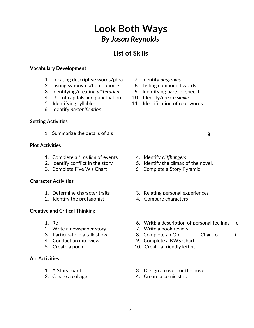#### **List of Skills**

#### **Vocabulary Development**

- 1. Locating descriptive words/phra and 7. Identify *anagrams* 
	- 2. Listing synonyms/homophones 8. Listing compound words
	-
- 4. U of capitals and punctuation 10. Identify/create *similes* 
	-
	- 6. Identify *personification*.

#### **Setting Activities**

1. Summarize the details of a s etc.  $\qquad \qquad \text{g}$ 

#### **Plot Activities**

- 1. Complete a *time line* of events 4. Identify *cliffhangers*
- 
- 

#### **Character Activities**

- 
- 2. Identify the protagonist 4. Compare characters

#### **Creative and Critical Thinking**

- 
- 2. Write a newspaper story T. Write a book review
- 
- 
- 

#### **Art Activities**

- 
- 
- 
- 
- 3. Identifying/creating *alliteration* 9. Identifying parts of speech
	-
- 5. Identifying syllables 11. Identification of root words

- 
- 2. Identify conflict in the story 5. Identify the climax of the novel.
- 3. Complete Five W's Chart 6. Complete a Story Pyramid
- 1. Determine character traits 3. Relating personal experiences
	-
- 1. Res earch 6. Writh a description of personal feelings and contact the state of the state of the state of the state of the state of the state of the state of the state of the state of the state of the state of the state
	-
	- 3. Participate in a talk show 8. Complete an Ob 6. Chart o chart o
		- 4. Conduct an interview 9. Complete a KWS Chart
		- 5. Create a poem 10. Create a friendly letter.
		- 1. A Storyboard 3. Design a cover for the novel
		- 2. Create a collage 4. Create a comic strip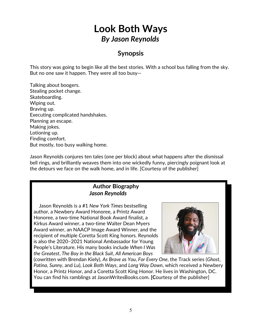#### **Synopsis**

This story was going to begin like all the best stories. With a school bus falling from the sky. But no one saw it happen. They were all too busy—

Talking about boogers. Stealing pocket change. Skateboarding. Wiping out. Braving up. Executing complicated handshakes. Planning an escape. Making jokes. Lotioning up. Finding comfort. But mostly, too busy walking home.

Jason Reynolds conjures ten tales (one per block) about what happens after the dismissal bell rings, and brilliantly weaves them into one wickedly funny, piercingly poignant look at the detours we face on the walk home, and in life. [Courtesy of the publisher]

#### **Author Biography**  *Jason Reynolds*

Jason Reynolds is a #1 *New York Times* bestselling author, a Newbery Award Honoree, a Printz Award Honoree, a two-time National Book Award finalist, a Kirkus Award winner, a two-time Walter Dean Myers Award winner, an NAACP Image Award Winner, and the recipient of multiple Coretta Scott King honors. Reynolds is also the 2020–2021 National Ambassador for Young People's Literature. His many books include *When I Was the Greatest*, *The Boy in the Black Suit*, *All American Boys*



(cowritten with Brendan Kiely), *As Brave as You*, *For Every One*, the Track series (*Ghost*, *Patina*, *Sunny*, and *Lu*), *Look Both Ways*, and *Long Way Down*, which received a Newbery Honor, a Printz Honor, and a Coretta Scott King Honor. He lives in Washington, DC. You can find his ramblings at JasonWritesBooks.com. **[C**ourtesy of the publisher]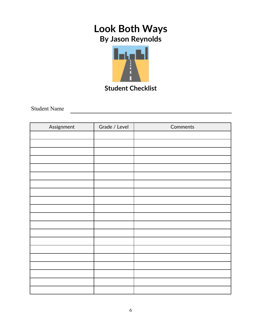

**Student Checklist**

<u> 1980 - Johann Barn, mars ar breithinn ar breithinn ar breithinn ar breithinn ar breithinn ar breithinn ar br</u>

Student Name

| Assignment | Grade / Level | Comments |
|------------|---------------|----------|
|            |               |          |
|            |               |          |
|            |               |          |
|            |               |          |
|            |               |          |
|            |               |          |
|            |               |          |
|            |               |          |
|            |               |          |
|            |               |          |
|            |               |          |
|            |               |          |
|            |               |          |
|            |               |          |
|            |               |          |
|            |               |          |
|            |               |          |
|            |               |          |
|            |               |          |
|            |               |          |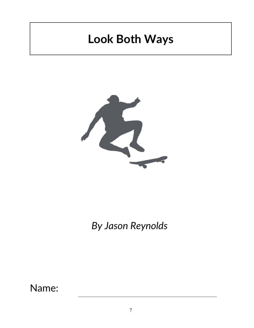# **Look Both Ways**



*By Jason Reynolds*

Name: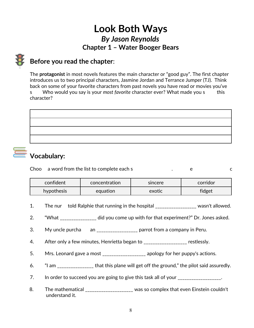## **Look Both Ways** *By Jason Reynolds* **Chapter 1 – Water Booger Bears**

## **Before you read the chapter**:

The **protagonist** in most novels features the main character or "good guy". The first chapter introduces us to two principal characters, Jasmine Jordan and Terrance Jumper (TJ). Think back on some of your favorite characters from past novels you have read or movies you've

s eer. Who would you say is your *most favorite c*haracter ever? What made you sect this character?



## **Vocabulary:**

Choos a word from the list to complete each s and some sentence are not sentence.

| confident              | concentration | sincere | corridor |
|------------------------|---------------|---------|----------|
| equation<br>hypothesis |               | exotic  | fidget   |

- 1. The nur told Ralphie that running in the hospital \_\_\_\_\_\_\_\_\_\_\_\_\_\_\_\_\_\_\_ wasn't allowed.
	- 2. "What \_\_\_\_\_\_\_\_\_\_\_\_\_\_\_ did you come up with for that experiment?" Dr. Jones asked.
	- 3. My uncle purcha an \_\_\_\_\_\_\_\_\_\_\_\_\_\_\_\_\_\_\_ parrot from a company in Peru.
		- 4. After only a few minutes, Henrietta began to \_\_\_\_\_\_\_\_\_\_\_\_\_\_\_\_\_\_\_ restlessly.
		- 5. Mrs. Leonard gave a most \_\_\_\_\_\_\_\_\_\_\_\_\_\_\_\_\_\_\_\_ apology for her puppy's actions.
		- 6. "I am \_\_\_\_\_\_\_\_\_\_\_\_\_\_\_\_ that this plane will get off the ground," the pilot said assuredly.
		- 7. In order to succeed you are going to give this task all of your \_\_\_\_\_\_\_\_\_\_\_\_\_\_\_.
		- 8. The mathematical \_\_\_\_\_\_\_\_\_\_\_\_\_\_\_\_\_\_\_\_ was so complex that even Einstein couldn't understand it.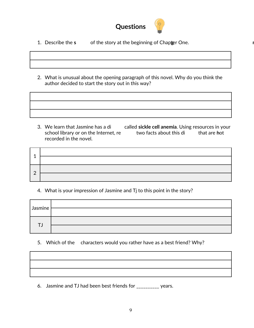

- 1. Describe the **s** etching of the story at the beginning of Chapter One.
- 2. What is unusual about the opening paragraph of this novel. Why do you think the author decided to start the story out in this way?

3. We learn that Jasmine has a dis eas e called **sickle cell anemia**. Using resources in your school library or on the Internet, restigation facts about this different that are **h**ot recorded in the novel.

| ⌒ |  |
|---|--|
|   |  |

#### 4. What is your impression of Jasmine and Tj to this point in the story?

| Jasmine |  |
|---------|--|
|         |  |

#### 5. Which of the characters would you rather have as a best friend? Why?

6. Jasmine and TJ had been best friends for \_\_\_\_\_\_\_\_\_\_ years.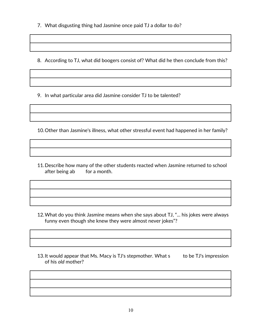7. What disgusting thing had Jasmine once paid TJ a dollar to do?

8. According to TJ, what did boogers consist of? What did he then conclude from this?

9. In what particular area did Jasmine consider TJ to be talented?

10.Other than Jasmine's illness, what other stressful event had happened in her family?

11.Describe how many of the other students reacted when Jasmine returned to school after being absorber a month.

- 12.What do you think Jasmine means when she says about TJ, "... his jokes were always funny even though she knew they were almost never jokes"?
- 13.It would appear that Ms. Macy is TJ's stepmother. What s eero to be TJ's impression of his *old* mother?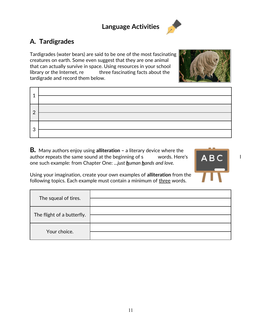### **Language Activities**



## **A. Tardigrades**

Tardigrades (water bears) are said to be one of the most fascinating creatures on earth. Some even suggest that they are one animal that can actually survive in space. Using resources in your school library or the Internet, re earch three fascinating facts about the straight the straight of the straight of the  $\mathbb{Z}$ tardigrade and record them below.



| ◢              |                                                             |
|----------------|-------------------------------------------------------------|
|                |                                                             |
| $\overline{2}$ | <u> 1989 - Johann Barbara, martxa a</u>                     |
|                |                                                             |
|                | the control of the control of the control of the control of |
| 3              |                                                             |

**B***.* Many authors enjoy using **alliteration –** a literary device where the author **r**epeats the same sound at the beginning of s every words. Here's  $\begin{array}{ccc} \blacksquare \blacktriangle \blacktriangleright \blacktriangle \end{array}$ one such example: from Chapter One: .*..just human hands and love.*



Using your imagination, create your own examples of **alliteration** from the following topics. Each example must contain a minimum of three words.

| The squeal of tires.       |  |
|----------------------------|--|
| The flight of a butterfly. |  |
| Your choice.               |  |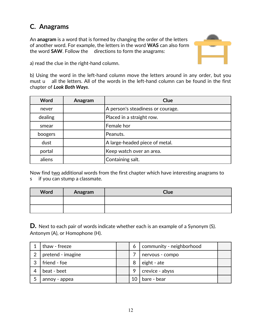## **C. Anagrams**

An **anagram** is a word that is formed by changing the order of the letters of another word. For example, the letters in the word **WAS** can also form **Example 26 The Word SAW.** Follow the state directions to form the anagrams:



a) read the clue in the right-hand column.

b) Using the word in the left-hand column move the letters around in any order, but you must u all the letters. All of the words in the left-hand column can be found in the first chapter of *Look Both Ways*.

Now find two additional words from the first chapter which have interesting anagrams to s ee if you can stump a classmate.  $\blacksquare$ 

| Word | Anagram | Clue |
|------|---------|------|
|      |         |      |
|      |         |      |

**D.** Next to each pair of words indicate whether each is an example of a Synonym (S). Antonym (A), or Homophone (H).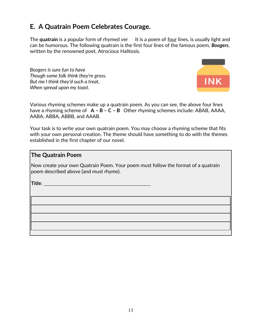### **E. A Quatrain Poem Celebrates Courage.**

The **quatrain** is a popular form of rhymed ver lt is a poem of <u>four</u> lines, is usually light and can be humorous. The following quatrain is the first four lines of the famous poem, *Boogers*, written by the renowned poet, Atrocious Halitosis.

> *Boogers is sure fun to have Though some folk think they're gross. But me I think they'd such a treat, When spread upon my toast.*



Various rhyming schemes make up a quatrain poem. As you can see, the above four lines have a rhyming scheme of **A – B – C – B** Other rhyming schemes include: ABAB, AAAA, AABA, ABBA, ABBB, and AAAB.

Your task is to write your own quatrain poem. You may choose a rhyming scheme that fits with your own personal creation. The theme should have something to do with the themes established in the first chapter of our novel.

#### **The Quatrain Poem**

Now create your own Quatrain Poem. Your poem must follow the format of a quatrain poem described above (and must rhyme).

**Title**: \_\_\_\_\_\_\_\_\_\_\_\_\_\_\_\_\_\_\_\_\_\_\_\_\_\_\_\_\_\_\_\_\_\_\_\_\_\_\_\_\_\_\_\_\_\_\_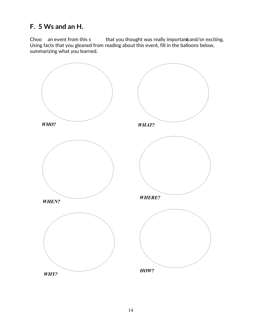### **F. 5 Ws and an H.**

Choo an event from this s  $\qquad$  that you thought was really important and/or exciting. Using facts that you gleaned from reading about this event, fill in the balloons below, summarizing what you learned.